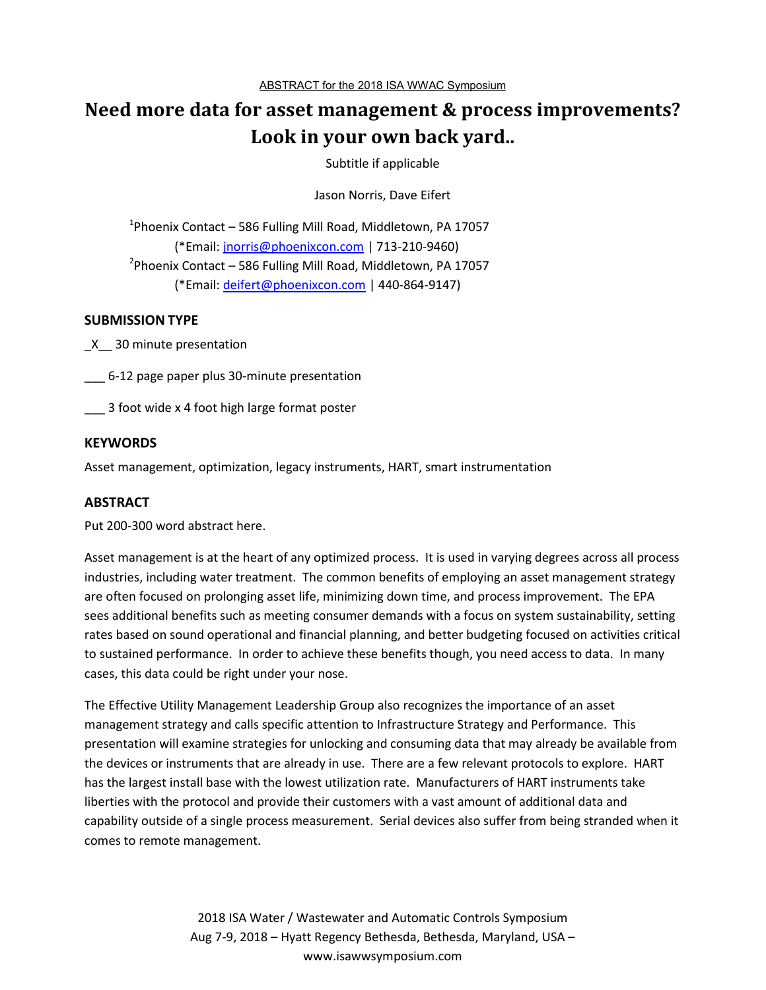# **Need more data for asset management & process improvements? Look in your own back yard..**

Subtitle if applicable

Jason Norris, Dave Eifert

<sup>1</sup>Phoenix Contact – 586 Fulling Mill Road, Middletown, PA 17057 (\*Email: jnorris@phoenixcon.com | 713-210-9460) <sup>2</sup> Phoenix Contact – 586 Fulling Mill Road, Middletown, PA 17057 (\*Email: deifert@phoenixcon.com | 440-864-9147)

## **SUBMISSION TYPE**

\_X\_\_ 30 minute presentation

\_\_\_ 6-12 page paper plus 30-minute presentation

\_\_\_ 3 foot wide x 4 foot high large format poster

#### **KEYWORDS**

Asset management, optimization, legacy instruments, HART, smart instrumentation

## **ABSTRACT**

Put 200-300 word abstract here.

Asset management is at the heart of any optimized process. It is used in varying degrees across all process industries, including water treatment. The common benefits of employing an asset management strategy are often focused on prolonging asset life, minimizing down time, and process improvement. The EPA sees additional benefits such as meeting consumer demands with a focus on system sustainability, setting rates based on sound operational and financial planning, and better budgeting focused on activities critical to sustained performance. In order to achieve these benefits though, you need access to data. In many cases, this data could be right under your nose.

The Effective Utility Management Leadership Group also recognizes the importance of an asset management strategy and calls specific attention to Infrastructure Strategy and Performance. This presentation will examine strategies for unlocking and consuming data that may already be available from the devices or instruments that are already in use. There are a few relevant protocols to explore. HART has the largest install base with the lowest utilization rate. Manufacturers of HART instruments take liberties with the protocol and provide their customers with a vast amount of additional data and capability outside of a single process measurement. Serial devices also suffer from being stranded when it comes to remote management.

> 2018 ISA Water / Wastewater and Automatic Controls Symposium Aug 7-9, 2018 – Hyatt Regency Bethesda, Bethesda, Maryland, USA – www.isawwsymposium.com